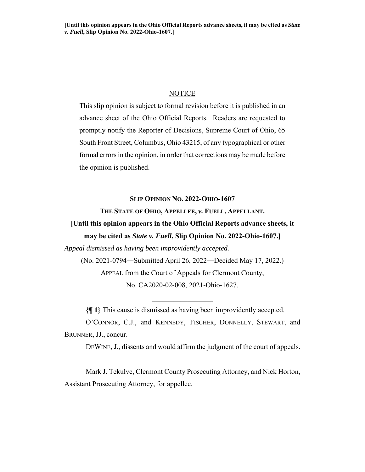# NOTICE

This slip opinion is subject to formal revision before it is published in an advance sheet of the Ohio Official Reports. Readers are requested to promptly notify the Reporter of Decisions, Supreme Court of Ohio, 65 South Front Street, Columbus, Ohio 43215, of any typographical or other formal errors in the opinion, in order that corrections may be made before the opinion is published.

# **SLIP OPINION NO. 2022-OHIO-1607**

# **THE STATE OF OHIO, APPELLEE,** *v.* **FUELL, APPELLANT.**

# **[Until this opinion appears in the Ohio Official Reports advance sheets, it may be cited as** *State v. Fuell***, Slip Opinion No. 2022-Ohio-1607.]**

*Appeal dismissed as having been improvidently accepted.* 

(No. 2021-0794―Submitted April 26, 2022―Decided May 17, 2022.) APPEAL from the Court of Appeals for Clermont County, No. CA2020-02-008, 2021-Ohio-1627.

**{¶ 1}** This cause is dismissed as having been improvidently accepted.

O'CONNOR, C.J., and KENNEDY, FISCHER, DONNELLY, STEWART, and BRUNNER, JJ., concur.

DEWINE, J., dissents and would affirm the judgment of the court of appeals.

Mark J. Tekulve, Clermont County Prosecuting Attorney, and Nick Horton, Assistant Prosecuting Attorney, for appellee.